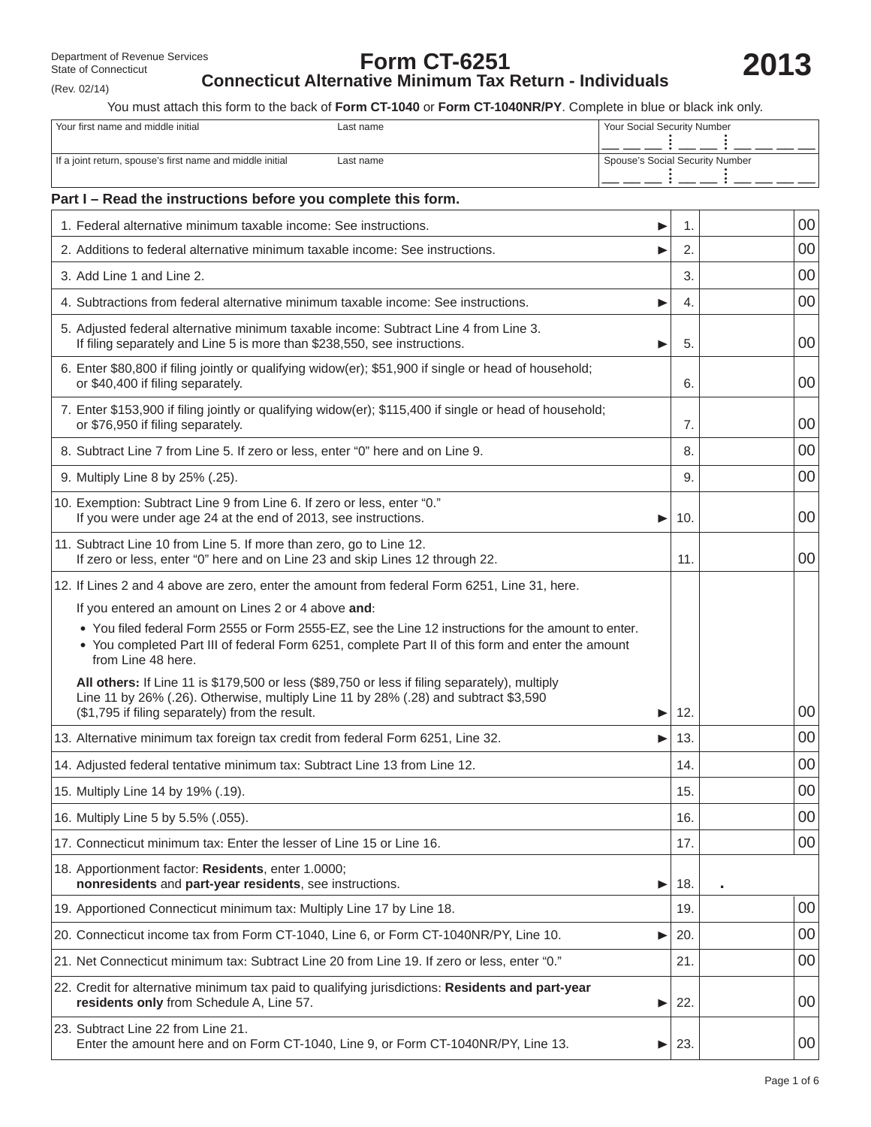(Rev. 02/14)

# **Form CT-6251 Connecticut Alternative Minimum Tax Return - Individuals**

You must attach this form to the back of **Form CT-1040** or **Form CT-1040NR/PY**. Complete in blue or black ink only.

| Your first name and middle initial                                                                                                           | Your Social Security Number<br>Last name                                                                                                                                                                  |    |                                 |        |  |  |
|----------------------------------------------------------------------------------------------------------------------------------------------|-----------------------------------------------------------------------------------------------------------------------------------------------------------------------------------------------------------|----|---------------------------------|--------|--|--|
| If a joint return, spouse's first name and middle initial<br>Last name                                                                       |                                                                                                                                                                                                           |    | Spouse's Social Security Number |        |  |  |
| Part I - Read the instructions before you complete this form.                                                                                |                                                                                                                                                                                                           |    |                                 |        |  |  |
| 1. Federal alternative minimum taxable income: See instructions.                                                                             |                                                                                                                                                                                                           |    | 1.                              | 00     |  |  |
|                                                                                                                                              | 2. Additions to federal alternative minimum taxable income: See instructions.                                                                                                                             |    | 2.                              | 00     |  |  |
| 3. Add Line 1 and Line 2.                                                                                                                    |                                                                                                                                                                                                           |    | 3.                              | 00     |  |  |
|                                                                                                                                              | 4. Subtractions from federal alternative minimum taxable income: See instructions.                                                                                                                        |    | 4.                              | 00     |  |  |
|                                                                                                                                              | 5. Adjusted federal alternative minimum taxable income: Subtract Line 4 from Line 3.<br>If filing separately and Line 5 is more than \$238,550, see instructions.<br>▶                                    |    |                                 |        |  |  |
| 6. Enter \$80,800 if filing jointly or qualifying widow(er); \$51,900 if single or head of household;<br>or \$40,400 if filing separately.   | 6.                                                                                                                                                                                                        | 00 |                                 |        |  |  |
| 7. Enter \$153,900 if filing jointly or qualifying widow(er); \$115,400 if single or head of household;<br>or \$76,950 if filing separately. | 7.                                                                                                                                                                                                        | 00 |                                 |        |  |  |
|                                                                                                                                              | 8. Subtract Line 7 from Line 5. If zero or less, enter "0" here and on Line 9.                                                                                                                            |    | 8.                              | 00     |  |  |
| 9. Multiply Line 8 by 25% (.25).                                                                                                             |                                                                                                                                                                                                           |    | 9.                              | 00     |  |  |
| 10. Exemption: Subtract Line 9 from Line 6. If zero or less, enter "0."<br>If you were under age 24 at the end of 2013, see instructions.    |                                                                                                                                                                                                           | ▶  | 10.                             | 00     |  |  |
| 11. Subtract Line 10 from Line 5. If more than zero, go to Line 12.                                                                          | If zero or less, enter "0" here and on Line 23 and skip Lines 12 through 22.                                                                                                                              |    | 11.                             | 00     |  |  |
|                                                                                                                                              | 12. If Lines 2 and 4 above are zero, enter the amount from federal Form 6251, Line 31, here.                                                                                                              |    |                                 |        |  |  |
| If you entered an amount on Lines 2 or 4 above and:                                                                                          |                                                                                                                                                                                                           |    |                                 |        |  |  |
| from Line 48 here.                                                                                                                           | . You filed federal Form 2555 or Form 2555-EZ, see the Line 12 instructions for the amount to enter.<br>• You completed Part III of federal Form 6251, complete Part II of this form and enter the amount |    |                                 |        |  |  |
| (\$1,795 if filing separately) from the result.                                                                                              | All others: If Line 11 is \$179,500 or less (\$89,750 or less if filing separately), multiply<br>Line 11 by 26% (.26). Otherwise, multiply Line 11 by 28% (.28) and subtract \$3,590                      |    | 12.                             | 00     |  |  |
|                                                                                                                                              | 13. Alternative minimum tax foreign tax credit from federal Form 6251, Line 32.                                                                                                                           |    | 13.                             | 00     |  |  |
| 14. Adjusted federal tentative minimum tax: Subtract Line 13 from Line 12.                                                                   |                                                                                                                                                                                                           |    | 14.                             | $00\,$ |  |  |
| 15. Multiply Line 14 by 19% (.19).                                                                                                           |                                                                                                                                                                                                           |    | 15.                             | 00     |  |  |
| 16. Multiply Line 5 by 5.5% (.055).                                                                                                          |                                                                                                                                                                                                           |    | 16.                             | 00     |  |  |
| 17. Connecticut minimum tax: Enter the lesser of Line 15 or Line 16.                                                                         |                                                                                                                                                                                                           |    | 17.                             | 00     |  |  |
| 18. Apportionment factor: Residents, enter 1.0000;<br>nonresidents and part-year residents, see instructions.                                |                                                                                                                                                                                                           | ▶  | 18.                             |        |  |  |
| 19. Apportioned Connecticut minimum tax: Multiply Line 17 by Line 18.                                                                        |                                                                                                                                                                                                           |    | 19.                             | 00     |  |  |
|                                                                                                                                              | 20. Connecticut income tax from Form CT-1040, Line 6, or Form CT-1040NR/PY, Line 10.                                                                                                                      | ▶  | 20.                             | 00     |  |  |
|                                                                                                                                              | 21. Net Connecticut minimum tax: Subtract Line 20 from Line 19. If zero or less, enter "0."                                                                                                               |    | 21.                             | 00     |  |  |
| residents only from Schedule A, Line 57.                                                                                                     | 22. Credit for alternative minimum tax paid to qualifying jurisdictions: Residents and part-year                                                                                                          | ▶  | 22.                             | 00     |  |  |
| 23. Subtract Line 22 from Line 21.                                                                                                           | Enter the amount here and on Form CT-1040, Line 9, or Form CT-1040NR/PY, Line 13.                                                                                                                         | ▶  | 23.                             | 00     |  |  |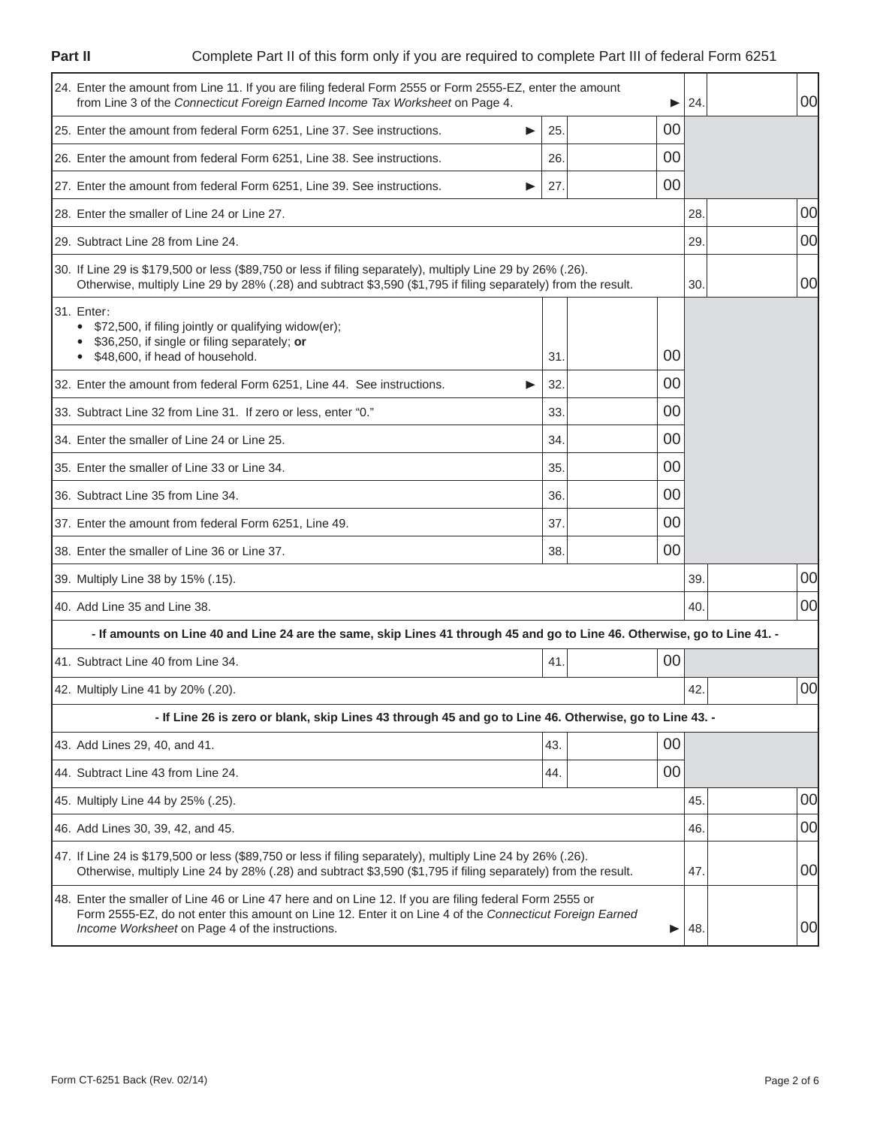**Part II**

# Complete Part II of this form only if you are required to complete Part III of federal Form 6251

| 24. Enter the amount from Line 11. If you are filing federal Form 2555 or Form 2555-EZ, enter the amount<br>from Line 3 of the Connecticut Foreign Earned Income Tax Worksheet on Page 4.                                                                                  |            | 24.      | 00 <sup>1</sup> |     |    |
|----------------------------------------------------------------------------------------------------------------------------------------------------------------------------------------------------------------------------------------------------------------------------|------------|----------|-----------------|-----|----|
| 25. Enter the amount from federal Form 6251, Line 37. See instructions.<br>▶                                                                                                                                                                                               | 25.        | 00       |                 |     |    |
| 26. Enter the amount from federal Form 6251, Line 38. See instructions.                                                                                                                                                                                                    | 26.        | 00       |                 |     |    |
| 27. Enter the amount from federal Form 6251, Line 39. See instructions.                                                                                                                                                                                                    | 27.        | 00       |                 |     |    |
| 28. Enter the smaller of Line 24 or Line 27.                                                                                                                                                                                                                               |            |          |                 | 28. | 00 |
| 29. Subtract Line 28 from Line 24.                                                                                                                                                                                                                                         |            |          |                 | 29. | 00 |
| 30. If Line 29 is \$179,500 or less (\$89,750 or less if filing separately), multiply Line 29 by 26% (.26).<br>Otherwise, multiply Line 29 by 28% (.28) and subtract \$3,590 (\$1,795 if filing separately) from the result.                                               |            | 30.      | 00              |     |    |
| 31. Enter:<br>\$72,500, if filing jointly or qualifying widow(er);<br>$\bullet$<br>\$36,250, if single or filing separately; or<br>\$48,600, if head of household.<br>32. Enter the amount from federal Form 6251, Line 44. See instructions.<br>▶                         | 31.<br>32. | 00<br>00 |                 |     |    |
| 33. Subtract Line 32 from Line 31. If zero or less, enter "0."                                                                                                                                                                                                             | 33.        | 00       |                 |     |    |
| 34. Enter the smaller of Line 24 or Line 25.                                                                                                                                                                                                                               | 00<br>34.  |          |                 |     |    |
| 35. Enter the smaller of Line 33 or Line 34.                                                                                                                                                                                                                               | 35.        | 00       |                 |     |    |
| 36. Subtract Line 35 from Line 34.                                                                                                                                                                                                                                         | 36.        | 00       |                 |     |    |
| 37. Enter the amount from federal Form 6251, Line 49.                                                                                                                                                                                                                      | 37.        | 00       |                 |     |    |
| 38. Enter the smaller of Line 36 or Line 37.                                                                                                                                                                                                                               | 38.        | 00       |                 |     |    |
| 39. Multiply Line 38 by 15% (.15).                                                                                                                                                                                                                                         |            |          |                 | 39. | 00 |
| 40. Add Line 35 and Line 38.                                                                                                                                                                                                                                               |            |          |                 |     | 00 |
| - If amounts on Line 40 and Line 24 are the same, skip Lines 41 through 45 and go to Line 46. Otherwise, go to Line 41. -                                                                                                                                                  |            |          |                 |     |    |
| 00<br>41. Subtract Line 40 from Line 34.<br>41.                                                                                                                                                                                                                            |            |          |                 |     |    |
| 42. Multiply Line 41 by 20% (.20).                                                                                                                                                                                                                                         |            | 42.      | 00              |     |    |
| - If Line 26 is zero or blank, skip Lines 43 through 45 and go to Line 46. Otherwise, go to Line 43. -                                                                                                                                                                     |            |          |                 |     |    |
| 43. Add Lines 29, 40, and 41.                                                                                                                                                                                                                                              | 43.        | 00       |                 |     |    |
| 44. Subtract Line 43 from Line 24.                                                                                                                                                                                                                                         | 44.        | 00       |                 |     |    |
| 45. Multiply Line 44 by 25% (.25).                                                                                                                                                                                                                                         |            |          |                 |     | 00 |
| 46. Add Lines 30, 39, 42, and 45.                                                                                                                                                                                                                                          |            |          |                 |     | 00 |
| 47. If Line 24 is \$179,500 or less (\$89,750 or less if filing separately), multiply Line 24 by 26% (.26).<br>Otherwise, multiply Line 24 by 28% (.28) and subtract \$3,590 (\$1,795 if filing separately) from the result.                                               |            |          |                 |     | 00 |
| 48. Enter the smaller of Line 46 or Line 47 here and on Line 12. If you are filing federal Form 2555 or<br>Form 2555-EZ, do not enter this amount on Line 12. Enter it on Line 4 of the Connecticut Foreign Earned<br>Income Worksheet on Page 4 of the instructions.<br>▶ |            |          |                 |     | 00 |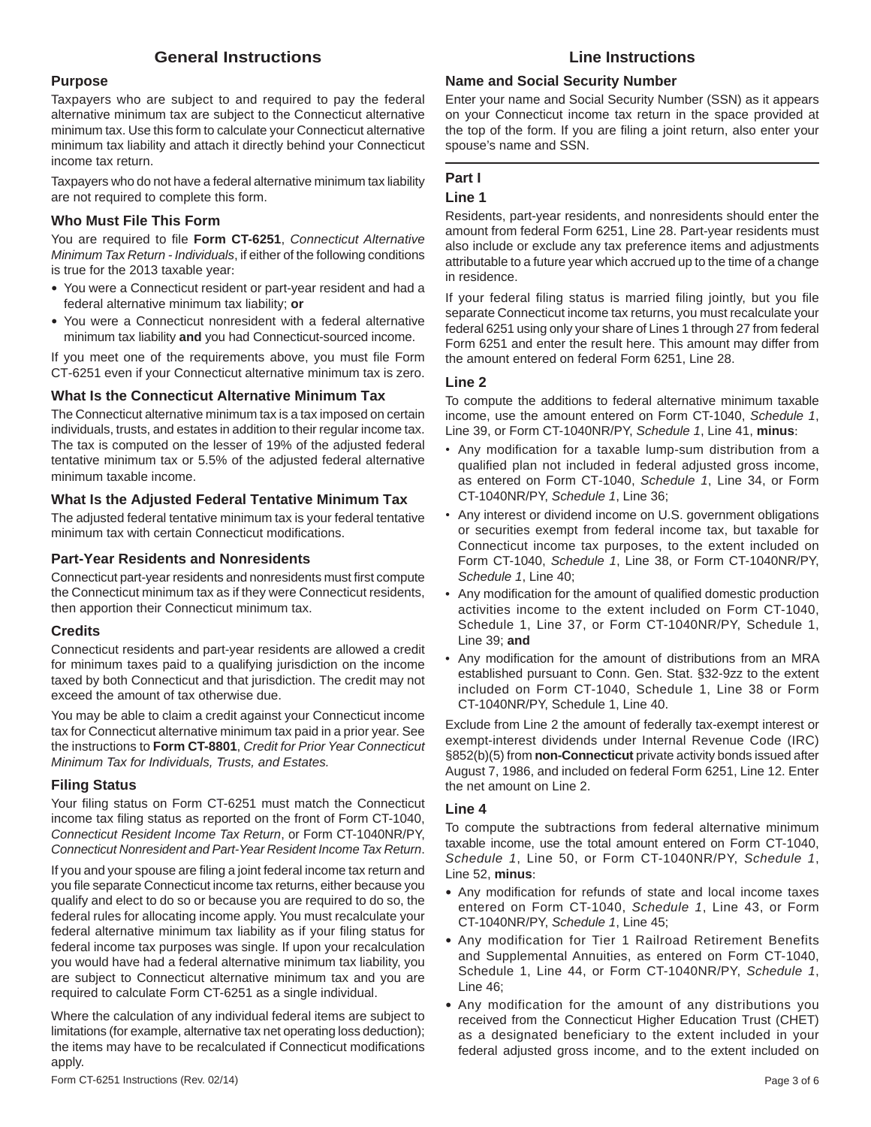## **General Instructions**

#### **Purpose**

Taxpayers who are subject to and required to pay the federal alternative minimum tax are subject to the Connecticut alternative minimum tax. Use this form to calculate your Connecticut alternative minimum tax liability and attach it directly behind your Connecticut income tax return.

Taxpayers who do not have a federal alternative minimum tax liability are not required to complete this form.

#### **Who Must File This Form**

You are required to file Form CT-6251, *Connecticut Alternative Minimum Tax Return - Individuals*, if either of the following conditions is true for the 2013 taxable year:

- You were a Connecticut resident or part-year resident and had a federal alternative minimum tax liability; **or**
- You were a Connecticut nonresident with a federal alternative minimum tax liability **and** you had Connecticut-sourced income.

If you meet one of the requirements above, you must file Form CT-6251 even if your Connecticut alternative minimum tax is zero.

#### **What Is the Connecticut Alternative Minimum Tax**

The Connecticut alternative minimum tax is a tax imposed on certain individuals, trusts, and estates in addition to their regular income tax. The tax is computed on the lesser of 19% of the adjusted federal tentative minimum tax or 5.5% of the adjusted federal alternative minimum taxable income.

#### **What Is the Adjusted Federal Tentative Minimum Tax**

The adjusted federal tentative minimum tax is your federal tentative minimum tax with certain Connecticut modifications.

#### **Part-Year Residents and Nonresidents**

Connecticut part-year residents and nonresidents must first compute the Connecticut minimum tax as if they were Connecticut residents, then apportion their Connecticut minimum tax.

#### **Credits**

Connecticut residents and part-year residents are allowed a credit for minimum taxes paid to a qualifying jurisdiction on the income taxed by both Connecticut and that jurisdiction. The credit may not exceed the amount of tax otherwise due.

You may be able to claim a credit against your Connecticut income tax for Connecticut alternative minimum tax paid in a prior year. See the instructions to **Form CT-8801**, *Credit for Prior Year Connecticut Minimum Tax for Individuals, Trusts, and Estates.*

### **Filing Status**

Your filing status on Form CT-6251 must match the Connecticut income tax filing status as reported on the front of Form CT-1040, *Connecticut Resident Income Tax Return*, or Form CT-1040NR/PY, *Connecticut Nonresident and Part-Year Resident Income Tax Return*.

If you and your spouse are filing a joint federal income tax return and you file separate Connecticut income tax returns, either because you qualify and elect to do so or because you are required to do so, the federal rules for allocating income apply. You must recalculate your federal alternative minimum tax liability as if your filing status for federal income tax purposes was single. If upon your recalculation you would have had a federal alternative minimum tax liability, you are subject to Connecticut alternative minimum tax and you are required to calculate Form CT-6251 as a single individual.

Where the calculation of any individual federal items are subject to limitations (for example, alternative tax net operating loss deduction); the items may have to be recalculated if Connecticut modifications apply.

## **Line Instructions**

## **Name and Social Security Number**

Enter your name and Social Security Number (SSN) as it appears on your Connecticut income tax return in the space provided at the top of the form. If you are filing a joint return, also enter your spouse's name and SSN.

### **Part I**

#### **Line 1**

Residents, part-year residents, and nonresidents should enter the amount from federal Form 6251, Line 28. Part-year residents must also include or exclude any tax preference items and adjustments attributable to a future year which accrued up to the time of a change in residence.

If your federal filing status is married filing jointly, but you file separate Connecticut income tax returns, you must recalculate your federal 6251 using only your share of Lines 1 through 27 from federal Form 6251 and enter the result here. This amount may differ from the amount entered on federal Form 6251, Line 28.

#### **Line 2**

To compute the additions to federal alternative minimum taxable income, use the amount entered on Form CT-1040, *Schedule 1*, Line 39, or Form CT-1040NR/PY, *Schedule 1*, Line 41, **minus**:

- Any modification for a taxable lump-sum distribution from a qualified plan not included in federal adjusted gross income, as entered on Form CT-1040, *Schedule 1*, Line 34, or Form CT-1040NR/PY, *Schedule 1*, Line 36;
- Any interest or dividend income on U.S. government obligations or securities exempt from federal income tax, but taxable for Connecticut income tax purposes, to the extent included on Form CT-1040, *Schedule 1*, Line 38, or Form CT-1040NR/PY, *Schedule 1*, Line 40;
- Any modification for the amount of qualified domestic production activities income to the extent included on Form CT-1040, Schedule 1, Line 37, or Form CT-1040NR/PY, Schedule 1, Line 39; **and**
- Any modification for the amount of distributions from an MRA established pursuant to Conn. Gen. Stat. §32-9zz to the extent included on Form CT-1040, Schedule 1, Line 38 or Form CT-1040NR/PY, Schedule 1, Line 40.

Exclude from Line 2 the amount of federally tax-exempt interest or exempt-interest dividends under Internal Revenue Code (IRC) §852(b)(5) from **non-Connecticut** private activity bonds issued after August 7, 1986, and included on federal Form 6251, Line 12. Enter the net amount on Line 2.

#### **Line 4**

To compute the subtractions from federal alternative minimum taxable income, use the total amount entered on Form CT-1040, *Schedule 1*, Line 50, or Form CT-1040NR/PY, *Schedule 1*, Line 52, **minus**:

- Any modification for refunds of state and local income taxes entered on Form CT-1040, *Schedule 1*, Line 43, or Form CT-1040NR/PY, *Schedule 1*, Line 45;
- Any modification for Tier 1 Railroad Retirement Benefits and Supplemental Annuities, as entered on Form CT-1040, Schedule 1, Line 44, or Form CT-1040NR/PY, *Schedule 1*, Line 46;
- Any modification for the amount of any distributions you received from the Connecticut Higher Education Trust (CHET) as a designated beneficiary to the extent included in your federal adjusted gross income, and to the extent included on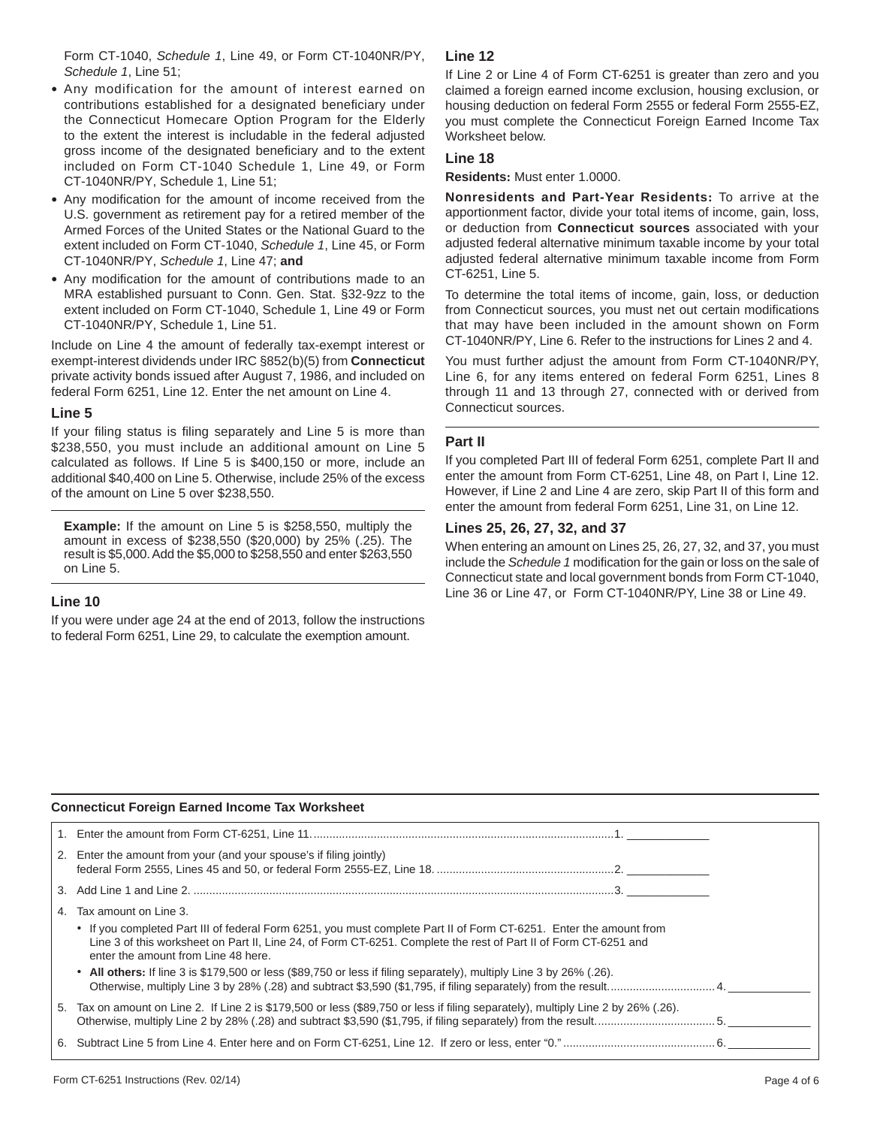Form CT-1040, *Schedule 1*, Line 49, or Form CT-1040NR/PY, *Schedule 1*, Line 51;

- Any modification for the amount of interest earned on contributions established for a designated beneficiary under the Connecticut Homecare Option Program for the Elderly to the extent the interest is includable in the federal adjusted gross income of the designated beneficiary and to the extent included on Form CT-1040 Schedule 1, Line 49, or Form CT-1040NR/PY, Schedule 1, Line 51;
- Any modification for the amount of income received from the U.S. government as retirement pay for a retired member of the Armed Forces of the United States or the National Guard to the extent included on Form CT-1040, *Schedule 1*, Line 45, or Form CT-1040NR/PY, *Schedule 1*, Line 47; **and**
- Any modification for the amount of contributions made to an MRA established pursuant to Conn. Gen. Stat. §32-9zz to the extent included on Form CT-1040, Schedule 1, Line 49 or Form CT-1040NR/PY, Schedule 1, Line 51.

Include on Line 4 the amount of federally tax-exempt interest or exempt-interest dividends under IRC §852(b)(5) from **Connecticut**  private activity bonds issued after August 7, 1986, and included on federal Form 6251, Line 12. Enter the net amount on Line 4.

#### **Line 5**

If your filing status is filing separately and Line 5 is more than \$238,550, you must include an additional amount on Line 5 calculated as follows. If Line 5 is \$400,150 or more, include an additional \$40,400 on Line 5. Otherwise, include 25% of the excess of the amount on Line 5 over \$238,550.

**Example:** If the amount on Line 5 is \$258,550, multiply the amount in excess of \$238,550 (\$20,000) by 25% (.25). The result is \$5,000. Add the \$5,000 to \$258,550 and enter \$263,550 on Line 5.

### **Line 10**

If you were under age 24 at the end of 2013, follow the instructions to federal Form 6251, Line 29, to calculate the exemption amount.

## **Line 12**

If Line 2 or Line 4 of Form CT-6251 is greater than zero and you claimed a foreign earned income exclusion, housing exclusion, or housing deduction on federal Form 2555 or federal Form 2555-EZ, you must complete the Connecticut Foreign Earned Income Tax Worksheet below.

### **Line 18**

**Residents:** Must enter 1.0000.

**Nonresidents and Part-Year Residents:** To arrive at the apportionment factor, divide your total items of income, gain, loss, or deduction from **Connecticut sources** associated with your adjusted federal alternative minimum taxable income by your total adjusted federal alternative minimum taxable income from Form CT-6251, Line 5.

To determine the total items of income, gain, loss, or deduction from Connecticut sources, you must net out certain modifications that may have been included in the amount shown on Form CT-1040NR/PY, Line 6. Refer to the instructions for Lines 2 and 4.

You must further adjust the amount from Form CT-1040NR/PY, Line 6, for any items entered on federal Form 6251, Lines 8 through 11 and 13 through 27, connected with or derived from Connecticut sources.

### **Part II**

If you completed Part III of federal Form 6251, complete Part II and enter the amount from Form CT-6251, Line 48, on Part I, Line 12. However, if Line 2 and Line 4 are zero, skip Part II of this form and enter the amount from federal Form 6251, Line 31, on Line 12.

#### **Lines 25, 26, 27, 32, and 37**

When entering an amount on Lines 25, 26, 27, 32, and 37, you must include the *Schedule 1* modification for the gain or loss on the sale of Connecticut state and local government bonds from Form CT-1040, Line 36 or Line 47, or Form CT-1040NR/PY, Line 38 or Line 49.

#### **Connecticut Foreign Earned Income Tax Worksheet**

|                                                                                                                                                                                                                                                                                                                                                                                                                                    | <b>UURING IN ANGELES IN ANGELES IN A SERVICE IN A STREET OF THE STATE OF THE STATE OF THE STATE OF STATE</b>                      |  |  |  |  |
|------------------------------------------------------------------------------------------------------------------------------------------------------------------------------------------------------------------------------------------------------------------------------------------------------------------------------------------------------------------------------------------------------------------------------------|-----------------------------------------------------------------------------------------------------------------------------------|--|--|--|--|
|                                                                                                                                                                                                                                                                                                                                                                                                                                    |                                                                                                                                   |  |  |  |  |
|                                                                                                                                                                                                                                                                                                                                                                                                                                    | 2. Enter the amount from your (and your spouse's if filing jointly)                                                               |  |  |  |  |
|                                                                                                                                                                                                                                                                                                                                                                                                                                    |                                                                                                                                   |  |  |  |  |
| Tax amount on Line 3.<br>4.<br>• If you completed Part III of federal Form 6251, you must complete Part II of Form CT-6251. Enter the amount from<br>Line 3 of this worksheet on Part II, Line 24, of Form CT-6251. Complete the rest of Part II of Form CT-6251 and<br>enter the amount from Line 48 here.<br>• All others: If line 3 is \$179,500 or less (\$89,750 or less if filing separately), multiply Line 3 by 26% (.26). |                                                                                                                                   |  |  |  |  |
|                                                                                                                                                                                                                                                                                                                                                                                                                                    | 5. Tax on amount on Line 2. If Line 2 is \$179,500 or less (\$89,750 or less if filing separately), multiply Line 2 by 26% (.26). |  |  |  |  |
|                                                                                                                                                                                                                                                                                                                                                                                                                                    |                                                                                                                                   |  |  |  |  |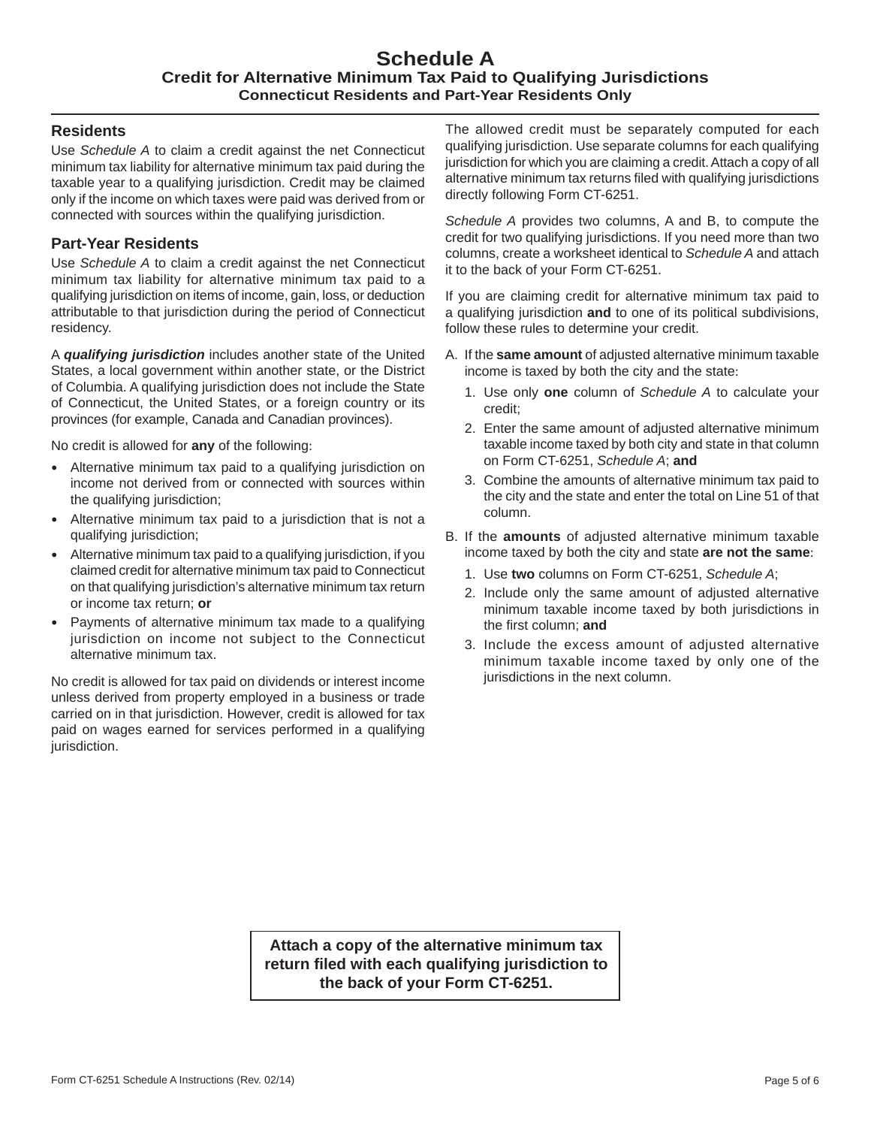## **Schedule A Credit for Alternative Minimum Tax Paid to Qualifying Jurisdictions Connecticut Residents and Part-Year Residents Only**

## **Residents**

Use *Schedule A* to claim a credit against the net Connecticut minimum tax liability for alternative minimum tax paid during the taxable year to a qualifying jurisdiction. Credit may be claimed only if the income on which taxes were paid was derived from or connected with sources within the qualifying jurisdiction.

## **Part-Year Residents**

Use *Schedule A* to claim a credit against the net Connecticut minimum tax liability for alternative minimum tax paid to a qualifying jurisdiction on items of income, gain, loss, or deduction attributable to that jurisdiction during the period of Connecticut residency.

A *qualifying jurisdiction* includes another state of the United States, a local government within another state, or the District of Columbia. A qualifying jurisdiction does not include the State of Connecticut, the United States, or a foreign country or its provinces (for example, Canada and Canadian provinces).

No credit is allowed for **any** of the following:

- Alternative minimum tax paid to a qualifying jurisdiction on income not derived from or connected with sources within the qualifying jurisdiction;
- Alternative minimum tax paid to a jurisdiction that is not a qualifying jurisdiction;
- Alternative minimum tax paid to a qualifying jurisdiction, if you claimed credit for alternative minimum tax paid to Connecticut on that qualifying jurisdiction's alternative minimum tax return or income tax return; **or**
- Payments of alternative minimum tax made to a qualifying jurisdiction on income not subject to the Connecticut alternative minimum tax.

No credit is allowed for tax paid on dividends or interest income unless derived from property employed in a business or trade carried on in that jurisdiction. However, credit is allowed for tax paid on wages earned for services performed in a qualifying jurisdiction.

The allowed credit must be separately computed for each qualifying jurisdiction. Use separate columns for each qualifying jurisdiction for which you are claiming a credit. Attach a copy of all alternative minimum tax returns filed with qualifying jurisdictions directly following Form CT-6251.

*Schedule A* provides two columns, A and B, to compute the credit for two qualifying jurisdictions. If you need more than two columns, create a worksheet identical to *Schedule A* and attach it to the back of your Form CT-6251.

If you are claiming credit for alternative minimum tax paid to a qualifying jurisdiction **and** to one of its political subdivisions, follow these rules to determine your credit.

- A. If the **same amount** of adjusted alternative minimum taxable income is taxed by both the city and the state:
	- 1. Use only **one** column of *Schedule A* to calculate your credit;
	- 2. Enter the same amount of adjusted alternative minimum taxable income taxed by both city and state in that column on Form CT-6251, *Schedule A*; **and**
	- 3. Combine the amounts of alternative minimum tax paid to the city and the state and enter the total on Line 51 of that column.
- B. If the **amounts** of adjusted alternative minimum taxable income taxed by both the city and state **are not the same**:
	- 1. Use **two** columns on Form CT-6251, *Schedule A*;
	- 2. Include only the same amount of adjusted alternative minimum taxable income taxed by both jurisdictions in the first column; and
	- 3. Include the excess amount of adjusted alternative minimum taxable income taxed by only one of the jurisdictions in the next column.

**Attach a copy of the alternative minimum tax return fi led with each qualifying jurisdiction to the back of your Form CT-6251.**